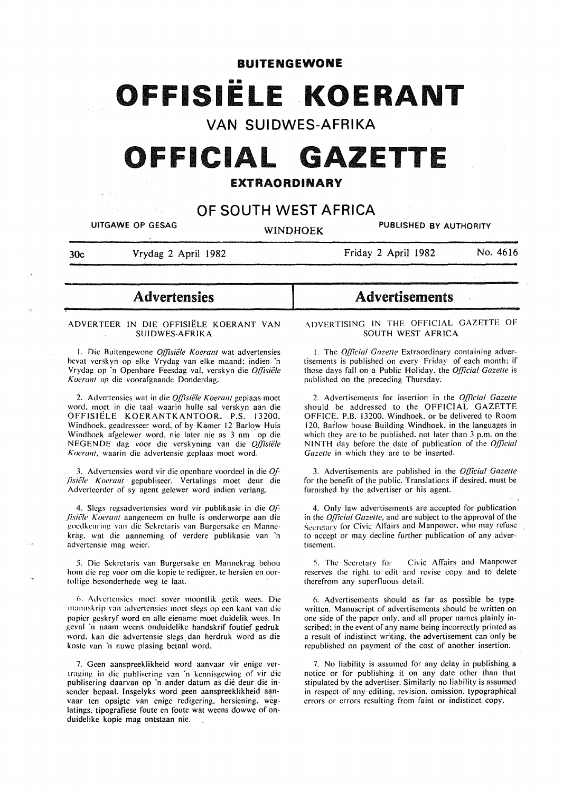#### **BUITENGEWONE**

# •• **OFFISIELE KOERANT**

### **VAN SUIDWES-AFRIKA**

## **OFFICIAL GAZETTE**

#### EXTRAORDINARY

## **OF SOUTH WEST AFRICA**

UITGAWE OP GESAG WINDHOEK PUBLISHED BY AUTHORITY

~

30c Vrydag 2 April 1982

Friday 2 April 1982 No. 4616

## **Advertensies**

#### ADVERTEER IN DIE OFFISIELE KOERANT VAN SUIDWES-AFRIKA

1. Die Buitengewone *Offisiële Koerant* wat advertensies bcvat vcrskyn op clke Vrydag van elke maand: indien 'n Vrydag op 'n Openbare Feesdag val. verskyn die Offisiële *K oeranl op* die voorafgaande Donderdag.

2. Advcrtcnsics wat in die *Q[/isiele Koeranl* geplaas moet word. moct in die taal waarin hulle sal verskyn aan die OFFISIELE KOERANTKANTOOR. P.S. 13200. Windhoek. geadresseer word. of by Kamer 12 Barlow Huis Windhoek afgelewer word, nie later nie as 3 nm op die NEGENDE dag voor die verskyning van die Offisiële Koerant, waarin die advertensie geplaas moet word.

3. Advertensies word vir die openbare voordeel in die *Of-.fisiae Koeranl* · gcpublisecr. Vertalings moet deur die Adverteerdcr of sy agent gelewer word indien verlang.

4. Slcgs regsadvertcnsics word vir publikasie in die Qf *fisiële Koerant* aangeneem en hulle is onderworpe aan die gocdkcuring van die Sekretaris van Burgersake en Mannekrag. wat die aanncming of verdcre publikasie van 'n advertensie mag weier.

5. Die Sckrctaris van Burgcrsakc en Mannekrag behou hom die reg voor om die kopie te redigeer, te hersien en oortollige besonderhede weg te laat.

6. Advertensies moet sover moontlik getik wees. Die rnanusl.rip \·an advertcnsics moe! slegs op een kant van die papier gcskryf word en aile eiename moet duidelik wees. In geval ·n naam weens onduidelike handskrif foutief gedruk word. kan die advertensie slegs. dan herdruk word as die koste van ·n nuwc plasing betaal word.

7. Geen aanspreeklikheid word aanvaar vir enige vertraging in die publiscring van 'n kennisgcwing of vir die publiscring daarvan op ·n ander datum as die deur die insender bepaal. Insgelyks word geen aanspreeklikheid aanvaar ten opsigte van enige redigering. hersiening. weglatings. tipografiese foute en foute wat weens dowwe of onduidelike kopie mag ontstaan nie.

## Advertisements

#### ADVERTISING IN THE OFFICIAL GAZETTE OF SOUTH WEST AFRICA

I. The *Q[(icial Gazelle* Extraordinary containing advertisements is published on every Friday of each month: if those days fall on a Public Holiday. the *Q{ficial Gazelle* is published on the preceding Thursday.

2. Advertisements for insertion in the *Q{ficial Gazelle*  should be addressed to the OFFICIAL GAZETTE OFFICE. P.B. 13200. Windhoek. or be delivered to Room 120. Barlow house Building Windhoek, in the languages in which they are to be published, not later than 3 p.m. on the NINTH day before the date of publication of the *Oj(icial*  Gazette in which they are to be inserted.

3. Advertisements are published in the *Q{ficial Gazelle*  for the benefit of the public. Translations if desired. must be furnished by the advertiser or his agent.

4. Only law advertisements are accepted for publication in the *Q[(icial Gazelle,* and are subject to the approval of the Secretary for Civic Affairs and Manpower. who may refuse to accept or may decline further publication of any advertisement.

5. The Secretary for Civic Affairs and Manpower reserves the right to edit and revise copy and to delete therefrom any superfluous detail.

6. Advertisements should as far as possible be typewritten. Manuscript of advertisements should be written on one side of the paper only. and all proper names plainly inscribed: in the event of any name being incorrectly printed as a result of indistinct writing. the advertisement can only be republished on payment of the cost of another insertion.

7. No liability is assumed for any delay in publishing a notice or for publishing it on any date other than that stipulated by the advertiser. Similarly no liability is assumed in respect of any editing. revision. omission. typographical errors or errors resulting from faint or indistinct copy.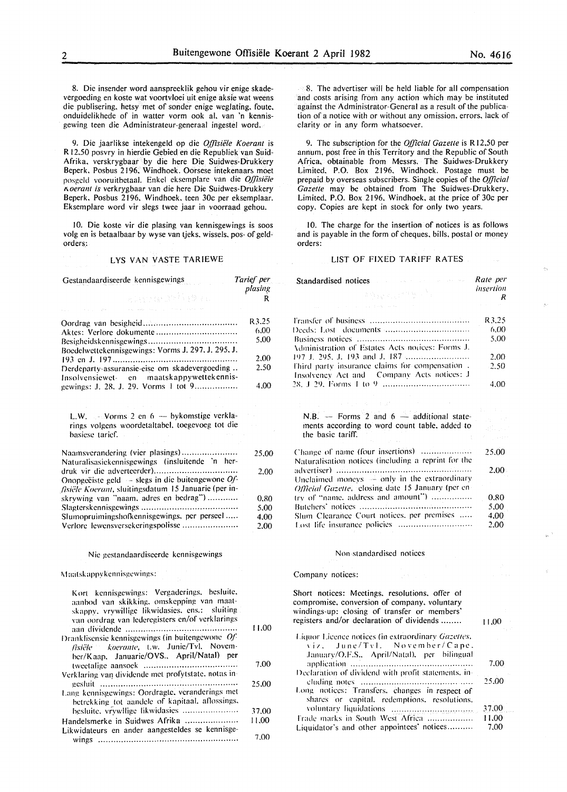plasing

8. Die insender word aanspreeklik gehou vir enige skadevergoeding en koste wat voortvloei uit enige aksie wat weens die publisering. hetsy met of sonder enige weglating. foute. onduidelikhede of in watter vorm ook al, van 'n kennisgewing teen die Administrateur-generaal ingestel word.

9. Die jaarlikse intekengeld op die *O.ffisiele Koerant* is R 12.50 posvry in hierdie Gebied en die Republiek van Suid-Afrika. verskrygbaar by die here Die Suidwes-Drukkery Beperk. Posbus 2196, Windhoek. Oorsese intekenaars moet posgeld vooruitbetaal. Enkel eksemplare van die *Offisiële 1\.oerant is* verkrygbaar van die here Die Suidwes-Drukkery Beperk. Posbus 2196. Windhoek. teen 30c per eksemplaar. Eksemplare word vir slegs twee jaar in voorraad gehou.

10. Die koste vir die plasing van kennisgewings is soos volg en is betaalbaar by wyse van tjeks. wissels. pos- of geldorders,:

#### LYS VAN VASTE TARIEWE

Gestandaardiseerde kennisgewings *Tarief per* 

| 2019 : 10 GM ACT (11 GM 70 G<br>and such a complete service service                                                                                                                           | R                     |
|-----------------------------------------------------------------------------------------------------------------------------------------------------------------------------------------------|-----------------------|
| Boedelwettekennisgewings: Vorms J. 297. J. 295. J.                                                                                                                                            | R3.25<br>6.00<br>5.00 |
| Derdeparty-assuransie-eise om skadevergoeding<br>Insolvensiewet- en maatskappywettekennis-                                                                                                    | 2.00<br>2.50          |
| gewings: J. 28, J. 29, Vorms 1 tot 9                                                                                                                                                          | 4.00                  |
| L.W. - Vorms 2 en 6 - bykomstige verkla-<br>rings volgens woordetaltabel, toegevoeg tot die<br>basiese tarief.                                                                                |                       |
| Naamsverandering (vier plasings)<br>Naturalisasiekennisgewings (insluitende 'n her-                                                                                                           | 25,00                 |
| Onopgeëiste geld $-$ slegs in die buitengewone Of-<br>fisiële Koerant, sluitingsdatum 15 Januarie (per in-                                                                                    | 2.00                  |
| skrywing van "naam, adres en bedrag")                                                                                                                                                         | 0.80                  |
|                                                                                                                                                                                               | 5.00                  |
| Slumopruimingshofkennisgewings, per perseel<br>Verlore lewensversekeringspolisse                                                                                                              | 4.00<br>2.00          |
| Nie gestandaardiseerde kennisgewings                                                                                                                                                          |                       |
| Maatskappvkennisgewings:                                                                                                                                                                      |                       |
| Kort kennisgewings: Vergaderings, besluite,<br>aanbod van skikking, omskepping van maat-<br>skappy, vrywillige likwidasies, ens.: sluiting<br>van oordrag van lederegisters en/of verklarings |                       |
| Dranklisensie kennisgewings (in buitengewone Of-<br>fisiële koerante, t.w. Junie/Tvl. Novem-<br>ber/Kaap. Januarie/OVS., April/Natal) per                                                     | 11.00                 |
| Verklaring van dividende met profytstate, notas in-                                                                                                                                           | 7.00                  |
| Lang kennisgewings: Oordragte, veranderings met<br>betrekking tot aandele of kapitaal, aflossings,                                                                                            | 25.00                 |
| besluite, vrvwllige likwidasies                                                                                                                                                               | 37.00                 |
| Handelsmerke in Suidwes Afrika                                                                                                                                                                | 11.00                 |
| Likwidateurs en ander aangesteldes se kennisge-<br>wings                                                                                                                                      | 7.00                  |

8. The advertiser will be held liable for all compensation and costs arising from any action which may be instituted against the Administrator-General as a result of the publication of a notice with or without any omission. errors. lack of clarity or in any form whatsoever.

9. The subscription for the *Official Gazette* is R 12.50 per annum, post free in this Territory and the Republic of South Africa. obtainable from Messrs. The Suidwes-Drukkery Limited. P.O. Box 2196. Windhoek. Postage must be prepaid by overseas subscribers. Single copies of the *Q[/icial Gazelle* may be obtained from The Suidwes-Drukkery. Limited. P.O. Box 2196. Windhoek. at the price of 30c per copy. Copies are kept in stock for only two years.

10. The charge for the insertion of notices is as follows and is payable in the form of cheques, bills. postal or money orders:

#### LIST OF FIXED TARIFF RATES

| Standardised notices and the contract of the state of the state of the state of the state of the state of the | Rate per       |
|---------------------------------------------------------------------------------------------------------------|----------------|
| 医含氧化氧化物 经产品                                                                                                   | insertion<br>R |
| and the companion of the companion of the companion                                                           |                |
|                                                                                                               | R3.25          |
|                                                                                                               | 6.00           |
|                                                                                                               | 5.00           |
| Administration of Estates Acts notices: Forms J.                                                              |                |
| 197 J. 295, J. 193 and J. 187                                                                                 | 2.00           |
| Third party insurance claims for compensation.<br>Insolvency Act and Company Acts notices: J                  | 2.50           |
|                                                                                                               | 4.00           |
| $\langle \phi, \phi \rangle_{\rm L} < \langle \phi, \phi \rangle_{\rm L}$ and                                 |                |
| N.B. $-$ Forms 2 and $6 -$ additional state-<br>ments according to word count table, added to                 |                |
| the basic tariff.                                                                                             |                |
| Change of name (four insertions)<br>Naturalisation notices (including a reprint for the                       | 25.00          |
|                                                                                                               | $2.00 -$       |
| Unclaimed moneys $\rightarrow$ only in the extraordinary                                                      |                |
| Official Gazette, closing date 15 January (per en-                                                            |                |
| $try$ of "name, address and amount")                                                                          | 0.80           |
|                                                                                                               | 5.00           |
| Slum Clearance Court notices, per premises                                                                    | 4.00           |
|                                                                                                               | 2.00           |

#### Non standardised notices

#### Company notices:

Short notices: Meetings. resolutions. offer of compromise. conversion of company. voluntary windings-up: closing of transfer or members' registers and/or declaration of dividends ....... .

| Liquor Licence notices (in extraordinary Gazettes,<br>viz. June/Tyl. November/Cape.            |       |
|------------------------------------------------------------------------------------------------|-------|
| January/O.F.S., April/Natal), per bilingual                                                    | 7.00  |
| Declaration of dividend with profit statements, in-                                            |       |
|                                                                                                | 25.00 |
| Long notices: Transfers, changes in respect of<br>shares or capital, redemptions, resolutions, |       |
|                                                                                                | 37.00 |
| Trade marks in South West Africa                                                               | 11.00 |
| Liquidator's and other appointees' notices                                                     | 7.00  |

11.00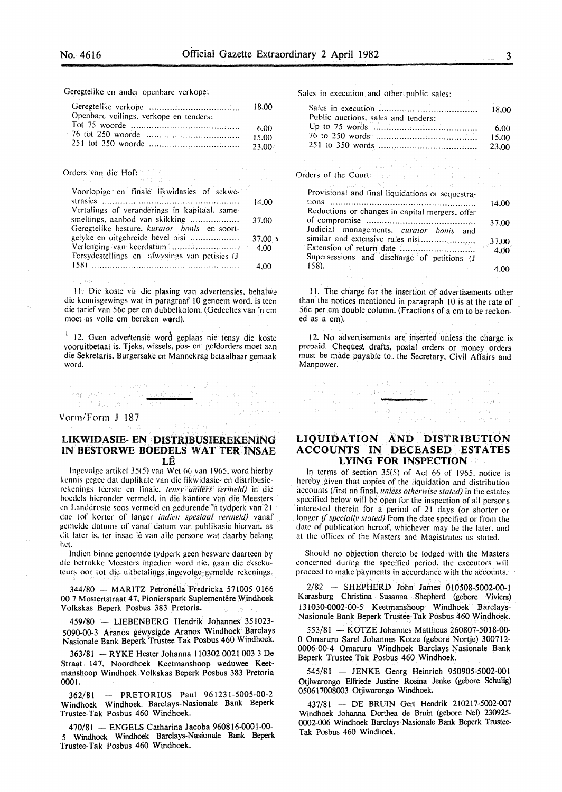in 19

Geregtelike en ander openbare verkope:

|                                        | 18.00  |
|----------------------------------------|--------|
| Openbare veilings, verkope en tenders: |        |
|                                        | 6.00   |
|                                        | 15.00  |
|                                        | -23.00 |

Orders van die Hof:

Charles C

| Voorlopige en finale likwidasies of sekwe-    |        |
|-----------------------------------------------|--------|
| strasies $\ldots$                             | 14.00  |
| Vertalings of veranderings in kapitaal, same- |        |
| smeltings, aanbod van skikking                | 37.00  |
| Geregtelike besture, kurator bonis en soort-  |        |
| gelyke en uitgebreide bevel nisi              | 37,00. |
|                                               |        |
| Tersydestellings en afwysings van petisies (J |        |
|                                               | 4.00   |

II. Die koste vir die plasing van advertensies. behalwe die kennisgewings wat in paragraaf 10 genoem word, is teen die tarief van 56c per em dubbelkolom. (Gedeeltes van 'n em moet as volle cm bereken word).

<sup>1</sup> 12. Geen advertensie word geplaas nie tensy die koste vooruitbetaal is. Tjeks. wissels. pos- en geldorders moet aan die Sckretaris. Burgersake en Mannekrag betaalbaar gemaak word.

anek arab era el de les ser<br>enje <u>derhanz d</u>a tegino de elec senti con por l'are<br>Anti e consegue .<br>Sweep as t

#### Vorm/Form J 187

#### LIKWIDASIE- EN •DISTRIBUSIEREKENING IN BESTORWE BOEDELS WAT TER INSAE  $L\hat{E}$

5. 外阴设置 /智尔

lngcvolgc artikcl 35(5) van Wet 66 van 1965. word hierby kennis gegce dat duplikatc van die likwidasie- en distribusierekenings (eerste en finale, tensy anders vermeld) in die boedcls hierondcr vermeld. in die kantore van die Meesters en Landdroste soos vermcld en gedurendc 'n tydpcrk van 21 dae (of korter of langer *indien spesiaal vermeld)* vanaf gcmcldc datums of vanaf datum van publikasic hiervan. as dit later is, ter insae lê van alle persone wat daarby belang het.

lndicn binnc gcnocmdc tydperk geen bcsware daartcen by die hctrokke Mccstcrs ingcdien word nic. gaan die eksekutcurs oor tot die uitbctalings ingevolge gemelde rekenings.

344/80 - MARITZ Petronella Fredricka 571005 0166 00.7 Mostertstraat 47. Pionierspark Suplementêre Windhoek Volkskas Beperk Posbus 383 Pretoria.

459/80 - LIEBENBERG Hendrik Johannes 351023-5090-00-3 Aranos gewysigde Aranos Windhoek Barclays Nasionale Bank Beperk Trustee Tak Posbus 460 Windhoek.

363/81 - R YKE Hester Johanna 110302 0021 003 3 De Straat 147, Noordhoek Keetmanshoop weduwee Keetmanshoop Windhoek Volkskas Beperk Posbus 383 Pretoria 0001.

362/81 - PRETORIUS Paul 961231-5005-00-2 Windhoek Windhoek Barclays-Nasionale Bank Beperk Trustee-Tak Posbus 460 Windhoek.

470/81 -ENGELS Catharina Jacoba 960816-0001-00- 5 Windhoek Windhoek Barclays-Nasionale Bank Beperk Trustee-Tak Posbus 460 Windhoek.

Sales in execution and other public sales:

| <b>Contractor</b><br>Public auctions, sales and tenders:                                                        | 18.00         |
|-----------------------------------------------------------------------------------------------------------------|---------------|
|                                                                                                                 | 6.00<br>15.00 |
| はんそう なんこうすうかい みん まいこうはつぞうか あんい ひめいん                                                                             | 23,00         |
| 「小説」 そうしょう しょうしょう こうしんしょう マイエー・シーン<br>Orders of the Court: Apple Book and College and Court of the              |               |
| ny apartan'i Lan Michael I, ilay kaominina dia kaominina mp<br>Provisional and final liquidations or sequestra- |               |
| Reductions or changes in capital mergers, offer                                                                 | 14.00         |
| Judicial managements, curator bonis and                                                                         | 37.00         |
| similar and extensive rules nisi                                                                                | 37,00         |
| Supersessions and discharge of petitions (J                                                                     | 4.00          |
| 158.<br>the company of the                                                                                      | 4.00          |
| おけ物の きょうどう アイレート                                                                                                |               |

II. The charge for the insertion of advertisements other than the notices mentioned in paragraph 10 is at the rate of 56c per cm double column. (Fractions of a cm to be reckoned as a em).

12. No advertisements are inserted unless the charge is prepaid. Cheques!, drafts, postal orders or money orders must be made payable to. the Secretary, Civil Affairs and Manpower.

海集 25% 所作

alumi - alla lingvik lina<br>Seda lila lingvi lingvi Halap

#### LIQUIDATION AND DISTRIBUTION ACCOUNTS IN DECEASED ESTATES LYING FOR INSPECTION

ות המורכז המורכז היה המורכז המורכז המורכז היה מיוחד בין היה מיוחד בין המורכז היה המורכז היה המורכז היה המורכז<br>היה היה מיוחד בין היה המורכז המורכז היה המורכז היה המורכז היה מורכז היה מיוחד בין היה מורכז היה המורכז היה המו<br>

In terms of section  $35(5)$  of Act 66 of 1965, notice is hereby given that copies of the liquidation and distribution accounts (first an final. *unless otherwise slated)* in the estates specified below will be open for the inspection of all persons interested therein for a period of 21 days (or shorter or longer *if specially stated*) from the date specified or from the date of publication hereof. whichever may be the later. and at the offices of the Masters and Magistrates as stated.

Should no objection thereto be lodged with the Masters concerned during the specified period. the executors will proceed to make payments in accordance with the accounts.

2/82 - SHEPHERD John James 010508-5002-00-1 Karasburg Christina Susanna Shepherd (gebore Viviers) 131030-0002-00-5 Keetmanshoop Windhoek Barclays-Nasionale Bank Beperk Trustee-Tak Posbus 460 Windhoek.

553/81 - KOTZE Johannes Mattheus 260807-5018-00- 0 Omaruru Sarel Johannes Kotze (gebore Nortje) 300712- 0006-00-4 Omaruru Windhoek Barclays-Nasionale Bank Beperk Trustee-Tak Posbus 460 Windhoek.

545/81 - JENKE Georg Heinrich 950905-5002-001 Otjiwarongo Elfriede Justine Rosina Jenke (gebore Schulig) 050617008003 Otjiwarongo Windhoek.

437/81 - DE BRUIN Gert Hendrik 210217-5002-007 Windhoek Johanna Dorthea de Bruin (gebore Nel) 230925- 0002-006 Windhoek Barclays-Nasionale Bank Beperk Trustee-Tak Posbus 460 Windhoek.

than.

and march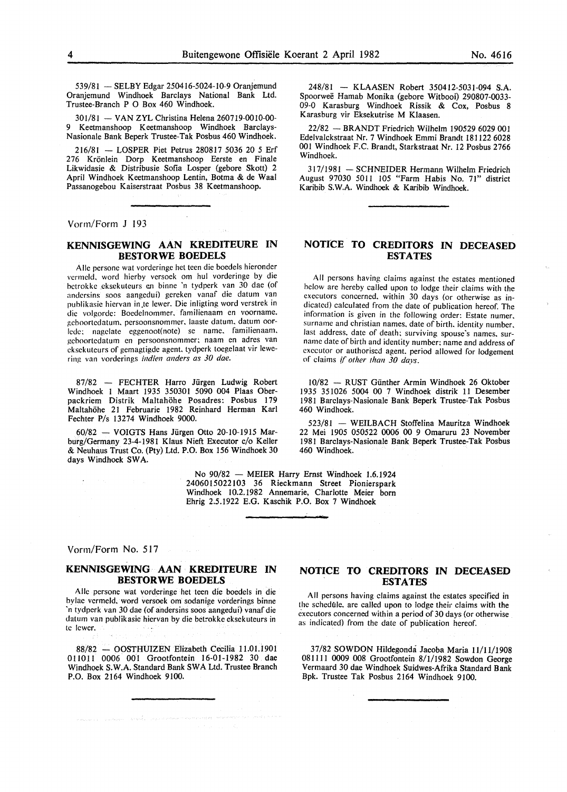539/81 - SELBY Edgar 250416-5024-10-9 Oranjemund Oranjemund Windhoek Barclays National Bank Ltd. Trustee-Branch P 0 Box 460 Windhoek.

301/81 - VAN ZYL Christina Helena 260719-0010-00-9 Keetmanshoop Keetmanshoop Windhoek Barclays-Nasionale Bank Beperk Trustee-Tak Posbus 460 Windhoek.

216/81 - LOSPER Piet Petrus 280817 5036 20 *5* Erf 276 Kronlein Dorp Keetmanshoop Eerste en Finale Likwidasie & Distribusie Sofia Losper (gebore Skott) 2 April Windhoek Keetmanshoop Lentin, Botma & de Waal Passanogebou Kaiserstraat Posbus 38 Keetmanshoop.

Vorm/Form J 193

#### **KENNISGEWING AAN KREDITEURE IN BESTORWE BOEDELS**

Aile persone wat vorderinge het teen die boedels hieronder vermeld. word hierby versoek om hul vorderinge by die betrokke eksekuteurs en binne 'n tydperk van 30 dae (of andcrsins soos aangedui) gereken vanaf die datum van publikasie hiervan in.te lewer. Die inligting word verstrek in die volgorde: Boedelnommer. familienaam en voorname. gcboortedatum. persoonsnommer. laaste datum. datum oorlede: nagelate eggenoot(note) se name, familienaam, geboortedatum en persoonsnommer; naam en adres van eksekuteurs of gemagtigde agent. tydperk toegelaat vir lewering van vorderings *indien anders as 30 dae*.

87/82 - FECHTER Harro Jürgen Ludwig Robert Windhoek I Maart 1935 350301 5090 004 Plaas Oberpackriem Distrik Maltahöhe Posadres: Posbus 179 Maltahohe 21 Februarie 1982 Reinhard Herman Karl Fechter P/s 13274 Windhoek 9000.

60/82 - VOIGTS Hans Jiirgen Otto 20-10-1915 Marburg/Germany 23-4-1981 Klaus Nieft Executor c/o Keller & Neuhaus Trust Co. (Pty) Ltd. P.O. Box 156 Windhoek 30 days Windhoek SWA.

> No 90/82 - MEIER Harry Ernst Windhoek 1.6.1924 2406015022103 36 Rieckmann Street Pionierspark Windhoek 10.2.1982 Annemarie, Charlotte Meier born Ehrig 2.5.1922 E.G. Kaschik P.O. Box 7 Windhoek

Vorm/Form No. 517

#### **KENNISGEWING AAN KREDITEURE IN BESTORWE BOEDELS**

Aile persone wat vorderinge het teen die boedels in die bylae vermeld, word versoek om sodanige vorderings binne 'n tydperk van 30 dae (of andersins soos aangedui) vanaf die datum van publikasie hiervan by die betrokke eksekuteurs in tc !ewer.

88/82 - OOSTHUIZEN Elizabeth Cecilia 11.01.1901 011011 0006 001 Grootfontein 16-01-1982 30 dae Windhoek S.W.A. Standard Bank SWA Ltd. Trustee Branch P.O. Box 2164 Windhoek 9100.

248/81 - KLAASEN Robert 350412-5031-094 S.A. Spoorwee Hamab Monika (gebore Witbooi) 290807-0033- 09-0 Karasburg Windhoek Rissik & Cox, Posbus 8 Karasburg vir Eksekutrise M Klaasen.

22/82 -BRANDT Friedrich Wilhelm 190529 6029 001 Edelvalckstraat Nr. 7 Windhoek Emmi Brandt 181122 6028 001 Windhoek F.C. Brandt, Starkstraat Nr. 12 Posbus 2766 Windhoek.

317/1981 - SCHNEIDER Hermann Wilhelm Friedrich August 97030 5011 105 "Farm Habis No. 71" district Karibib S.W.A. Windhoek & Karibib Windhoek.

#### **NOTICE TO CREDITORS IN DECEASED ESTATES**

All persons having claims against the estates mentioned below are hereby called upon to lodge their claims with the executors concerned. within 30 days (or otherwise as indicated) calculated from the date of publication hereof. The information is given in the following order: Estate numer. surname and christian names. date of birth. identity number, last address, date of death; surviving spouse's names. surname date of birth and identity number: name and address of executor or authorised agent. period allowed for lodgement of claims if *other than 30 days.* 

10/82 - RUST Gunther Armin Windhoek 26 Oktober 1935 351026 5004 00 7 Windhoek distrik 11 Desember 1981 Barclays-Nasionale Bank Beperk Trustee-Tak Posbus 460 Windhoek.

523/81 - WEILBACH Stoffelina Mauritza Windhoek 22 Mei 1905 050522 0006 00 9 Omaruru 23 November 1981 Barclays-Nasionale Bank Beperk Trustee-Tak Posbus 460 Windhoek.

#### **NOTICE TO CREDITORS IN DECEASED ESTATES**

All persons having claims against the estates specified in the schedule. are called upon to lodge their claims with the executors concerned within a period of 30 days (or otherwise as indicated) from the date of publication hereof.

37/82 SOWDON Hildegonda Jacoba Maria 11/11/1908 081111 0009 008 Grootfontein 8/1/1982 Sowdon George Vermaard 30 dae Windhoek Suidwes-Afrika Standard Bank Bpk. Trustee Tak Posbus 2164 Windhoek 9100.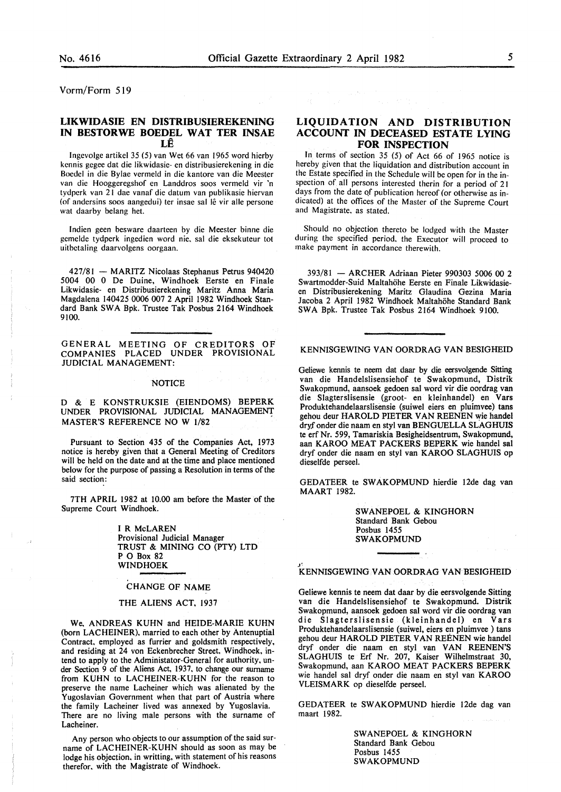Vorm/Form 519

#### **LIKWIDASIE EN DISTRIBUSIEREKENING IN BESTORWE BOEDEL WAT TER INSAE LE**

lngevolge artikel 35 (5) van Wet 66 van 1965 word hierby kennis gegee dat die likwidasie- en distribusierekening in die Boedel in die Bylae vermeld in die kantore van die Meester van die Hooggeregshof en Landdros soos vermeld vir 'n tydperk van 21 dae vanaf die datum van publikasie hiervan (of andersins soos aangedui) ter insae sal lê vir alle persone wat daarby belang het.

lndien geen besware daarteen by die Meester binne die gemelde tydperk ingedien word nie. sal die eksekuteur tot uithetaling daarvolgens oorgaan.

427/81 - MARITZ Nicolaas Stephanus Petrus 940420 5004 00 0 De Duine, Windhoek Eerste en Finale Likwidasie- en Distribusierekening Maritz Anna Maria Magdalena 140425 0006 007 2 April 1982 Windhoek Standard Bank SWA Bpk. Trustee Tak Posbus 2164 Windhoek 9100.

GENERAL MEETING OF CREDITORS OF COMPANIES PLACED UNDER PROVISIONAL JUDICIAL MANAGEMENT:

#### NOTICE

D & E KONSTRUKSIE (EIENDOMS) BEPERK UNDER PROVISIONAL JUDICIAL MANAGEMENT MASTER'S REFERENCE NO W 1/82

Pursuant to Section 435 of the Companies Act, 1973 notice is hereby given that a General Meeting of Creditors will be held on the date and at the time and place mentioned below for the purpose of passing a Resolution in terms of the said section:

7TH APRIL 1982 at 10.00 am before the Master of the Supreme Court Windhoek.

> I R McLAREN Provisional Judicial Manager TRUST & MINING CO (PTY) LTD P O Box 82 WINDHOEK

#### CHANGE OF NAME

#### THE ALIENS ACT, 1937

We. ANDREAS KUHN and HEIDE-MARIE KUHN (born LAC HEINER). married to each other by Antenuptial Contract. employed as furrier and goldsmith respectively, and residing at 24 von Eckenbrecher Street. Windhoek, intend to apply to the Administator-General for authority, under Section 9 of the Aliens Act, 1937, to change our surname from KUHN to LACHEINER-KUHN for the reason to preserve the name Lacheiner which was alienated by the Yugoslavian Government when that part of Austria where the family Lacheiner lived was annexed by Yugoslavia. There are no living male persons with the surname of Lacheiner.

Any person who objects to our assumption of the said surname of LACHEINER-KUHN should as soon as may be lodge his objection. in writting, with statement of his reasons therefor. with the Magistrate of Windhoek.

#### **LIQUIDATION AND DISTRIBUTION ACCOUNT IN DECEASED ESTATE LYING FOR INSPECTION**

In terms of section 35 (5) of Act 66 of 1965 notice is hereby given that the liquidation and distribution account in the Estate specified in the Schedule will be open for in the inspection of all persons interested therin for a period of 21 days from the date of publication hereof (or otherwise as indicated) at the offices of the Master of the Supreme Court and Magistrate. as stated.

Should no objection thereto be lodged with the Master during the specified period. the Executor will proceed to make payment in accordance therewith.

393/81 -ARCHER Adriaan Pieter 990303 5006 00 2 Swartmodder-Suid Maltahohe Eerste en Finale Likwidasieen Distribusierekening Maritz Glaudina Gezina Maria Jacoba 2 April 1982 Windhoek Maltahohe Standard Bank SWA Bpk. Trustee Tak Posbus 2164 Windhoek 9100.

#### KENNISGEWING VAN OORDRAG VAN BESIGHEID

Geliewe kennis te neem dat daar by die eersvolgende Sitting van die Handelslisensiehof te Swakopmund, Distrik Swakopmund, aansoek gedoen sal word vir die oordrag van die Slagterslisensie (groot- en kleinhandel) en Vars Produktehandelaarslisensie (suiwel eiers en pluimvee) tans gehou deur HAROLD PIETER VAN REENEN wie handel dryf onder die naam en styl van BENGUELLA SLAGHUIS te erf Nr. 599, Tamariskia Besigheidsentrum, Swakopmund, aan KAROO MEAT PACKERS BEPERK wie handel sal dryf onder die naam en sty! van KAROO SLAGHUIS op dieselfde perseel.

GEDATEER te SWAKOPMUND hierdie l2de dag van MAART 1982.

> SWANEPOEL & KINGHORN Standard Bank Gebou Posbus 1455 SWAKOPMUND

## J' KENNISGEWING VAN OORDRAG VANBESIGHEID

Geliewe kennis te neem dat daar by die eersvolgende Sitting van die Handelslisensiehof te Swakopmund. Distrik Swakopmund, aansoek gedoen sal word vir die oordrag van die Slagterslisensie (kleinhandel) en Vars Produktehandelaarslisensie (suiwel, eiers en pluimvee ) tans gehou deur HAROLD PIETER VAN REENEN wie handel dryf onder die naam en styl van VAN REENEN'S SLAGHUIS te Erf Nr. 207, Kaiser Wilhelmstraat 30, Swakopmund, aan KAROO MEAT PACKERS BEPERK wie handel sal dryf onder die naam en styl van KAROO VLEISMARK op dieselfde perseel.

GEDATEER te SWAKOPMUND hierdie 12de dag van maart 1982.

> SW ANEPOEL & KINGHORN Standard Bank Gebou Posbus 1455 SWAKOPMUND